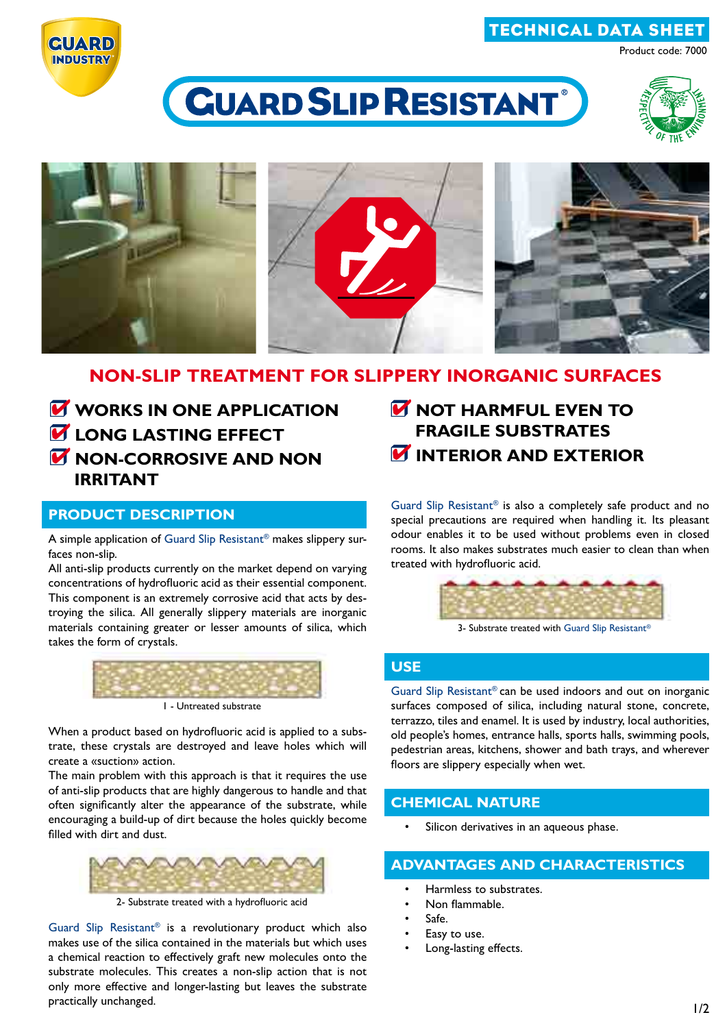# technical data sheet

Product code: 7000



# CUARD SLIP RESISTANT®





# **NON-SLIP TREATMENT FOR SLIPPERY INORGANIC SURFACES**

*W* WORKS IN ONE APPLICATION **LONG LASTING EFFECT M** NON-CORROSIVE AND NON **irritant**

## **product description**

A simple application of Guard Slip Resistant® makes slippery surfaces non-slip.

All anti-slip products currently on the market depend on varying concentrations of hydrofluoric acid as their essential component. This component is an extremely corrosive acid that acts by destroying the silica. All generally slippery materials are inorganic materials containing greater or lesser amounts of silica, which takes the form of crystals.



1 - Untreated substrate

When a product based on hydrofluoric acid is applied to a substrate, these crystals are destroyed and leave holes which will create a «suction» action.

The main problem with this approach is that it requires the use of anti-slip products that are highly dangerous to handle and that often significantly alter the appearance of the substrate, while encouraging a build-up of dirt because the holes quickly become filled with dirt and dust.



2- Substrate treated with a hydrofluoric acid

Guard Slip Resistant® is a revolutionary product which also makes use of the silica contained in the materials but which uses a chemical reaction to effectively graft new molecules onto the substrate molecules. This creates a non-slip action that is not only more effective and longer-lasting but leaves the substrate practically unchanged.

**NOT HARMFUL EVEN TO FRAGILE SUBSTRATES** *M* INTERIOR AND EXTERIOR

Guard Slip Resistant® is also a completely safe product and no special precautions are required when handling it. Its pleasant odour enables it to be used without problems even in closed rooms. It also makes substrates much easier to clean than when treated with hydrofluoric acid.



3- Substrate treated with Guard Slip Resistant®

## **use**

Guard Slip Resistant® can be used indoors and out on inorganic surfaces composed of silica, including natural stone, concrete, terrazzo, tiles and enamel. It is used by industry, local authorities, old people's homes, entrance halls, sports halls, swimming pools, pedestrian areas, kitchens, shower and bath trays, and wherever floors are slippery especially when wet.

## **chemical nature**

Silicon derivatives in an aqueous phase.

## **advantages and characteristics**

- Harmless to substrates.
- Non flammable.
- $S<sub>af</sub>$
- Easy to use.
- Long-lasting effects.